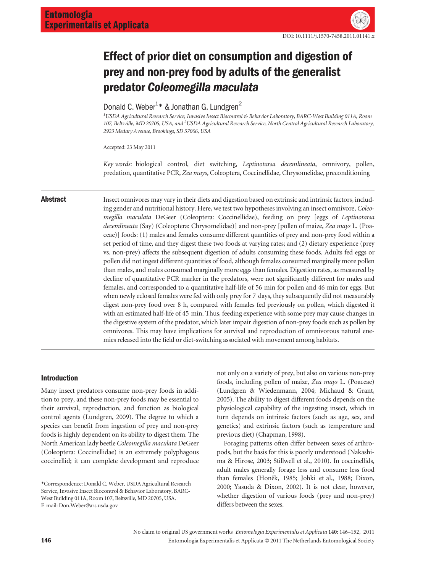# Effect of prior diet on consumption and digestion of prey and non-prey food by adults of the generalist predator Coleomegilla maculata

## Donald C. Weber<sup>1\*</sup> & Jonathan G. Lundgren<sup>2</sup>

1 USDA Agricultural Research Service, Invasive Insect Biocontrol & Behavior Laboratory, BARC-West Building 011A, Room 107, Beltsville, MD 20705, USA, and <sup>2</sup>USDA Agricultural Research Service, North Central Agricultural Research Laboratory, 2923 Medary Avenue, Brookings, SD 57006, USA

Accepted: 23 May 2011

Key words: biological control, diet switching, Leptinotarsa decemlineata, omnivory, pollen, predation, quantitative PCR, Zea mays, Coleoptera, Coccinellidae, Chrysomelidae, preconditioning

Abstract Insect omnivores may vary in their diets and digestion based on extrinsic and intrinsic factors, including gender and nutritional history. Here, we test two hypotheses involving an insect omnivore, Coleomegilla maculata DeGeer (Coleoptera: Coccinellidae), feeding on prey [eggs of Leptinotarsa decemlineata (Say) (Coleoptera: Chrysomelidae)] and non-prey [pollen of maize, Zea mays L. (Poaceae)] foods: (1) males and females consume different quantities of prey and non-prey food within a set period of time, and they digest these two foods at varying rates; and (2) dietary experience (prey vs. non-prey) affects the subsequent digestion of adults consuming these foods. Adults fed eggs or pollen did not ingest different quantities of food, although females consumed marginally more pollen than males, and males consumed marginally more eggs than females. Digestion rates, as measured by decline of quantitative PCR marker in the predators, were not significantly different for males and females, and corresponded to a quantitative half-life of 56 min for pollen and 46 min for eggs. But when newly eclosed females were fed with only prey for 7 days, they subsequently did not measurably digest non-prey food over 8 h, compared with females fed previously on pollen, which digested it with an estimated half-life of 45 min. Thus, feeding experience with some prey may cause changes in the digestive system of the predator, which later impair digestion of non-prey foods such as pollen by omnivores. This may have implications for survival and reproduction of omnivorous natural enemies released into the field or diet-switching associated with movement among habitats.

#### Introduction

Many insect predators consume non-prey foods in addition to prey, and these non-prey foods may be essential to their survival, reproduction, and function as biological control agents (Lundgren, 2009). The degree to which a species can benefit from ingestion of prey and non-prey foods is highly dependent on its ability to digest them. The North American lady beetle Coleomegilla maculata DeGeer (Coleoptera: Coccinellidae) is an extremely polyphagous coccinellid; it can complete development and reproduce not only on a variety of prey, but also on various non-prey foods, including pollen of maize, Zea mays L. (Poaceae) (Lundgren & Wiedenmann, 2004; Michaud & Grant, 2005). The ability to digest different foods depends on the physiological capability of the ingesting insect, which in turn depends on intrinsic factors (such as age, sex, and genetics) and extrinsic factors (such as temperature and previous diet) (Chapman, 1998).

Foraging patterns often differ between sexes of arthropods, but the basis for this is poorly understood (Nakashima & Hirose, 2003; Stillwell et al., 2010). In coccinellids, adult males generally forage less and consume less food than females (Honěk, 1985; Johki et al., 1988; Dixon, 2000; Yasuda & Dixon, 2002). It is not clear, however, whether digestion of various foods (prey and non-prey) differs between the sexes.

<sup>\*</sup>Correspondence: Donald C. Weber, USDA Agricultural Research Service, Invasive Insect Biocontrol & Behavior Laboratory, BARC-West Building 011A, Room 107, Beltsville, MD 20705, USA. E-mail: Don.Weber@ars.usda.gov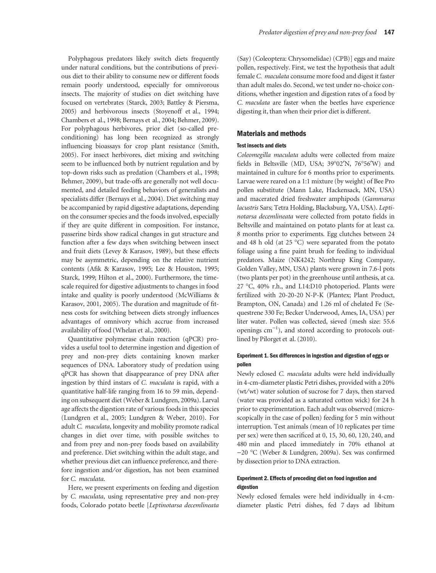Polyphagous predators likely switch diets frequently under natural conditions, but the contributions of previous diet to their ability to consume new or different foods remain poorly understood, especially for omnivorous insects. The majority of studies on diet switching have focused on vertebrates (Starck, 2003; Battley & Piersma, 2005) and herbivorous insects (Stoyenoff et al., 1994; Chambers et al., 1998; Bernays et al., 2004; Behmer, 2009). For polyphagous herbivores, prior diet (so-called preconditioning) has long been recognized as strongly influencing bioassays for crop plant resistance (Smith, 2005). For insect herbivores, diet mixing and switching seem to be influenced both by nutrient regulation and by top-down risks such as predation (Chambers et al., 1998; Behmer, 2009), but trade-offs are generally not well documented, and detailed feeding behaviors of generalists and specialists differ (Bernays et al., 2004). Diet switching may be accompanied by rapid digestive adaptations, depending on the consumer species and the foods involved, especially if they are quite different in composition. For instance, passerine birds show radical changes in gut structure and function after a few days when switching between insect and fruit diets (Levey & Karasov, 1989), but these effects may be asymmetric, depending on the relative nutrient contents (Afik & Karasov, 1995; Lee & Houston, 1995; Starck, 1999; Hilton et al., 2000). Furthermore, the timescale required for digestive adjustments to changes in food intake and quality is poorly understood (McWilliams & Karasov, 2001, 2005). The duration and magnitude of fitness costs for switching between diets strongly influences advantages of omnivory which accrue from increased availability of food (Whelan et al., 2000).

Quantitative polymerase chain reaction (qPCR) provides a useful tool to determine ingestion and digestion of prey and non-prey diets containing known marker sequences of DNA. Laboratory study of predation using qPCR has shown that disappearance of prey DNA after ingestion by third instars of C. maculata is rapid, with a quantitative half-life ranging from 16 to 59 min, depending on subsequent diet (Weber & Lundgren, 2009a). Larval age affects the digestion rate of various foods in this species (Lundgren et al., 2005; Lundgren & Weber, 2010). For adult C. maculata, longevity and mobility promote radical changes in diet over time, with possible switches to and from prey and non-prey foods based on availability and preference. Diet switching within the adult stage, and whether previous diet can influence preference, and therefore ingestion and/or digestion, has not been examined for C. maculata.

Here, we present experiments on feeding and digestion by C. maculata, using representative prey and non-prey foods, Colorado potato beetle [Leptinotarsa decemlineata (Say) (Coleoptera: Chrysomelidae) (CPB)] eggs and maize pollen, respectively. First, we test the hypothesis that adult female C. maculata consume more food and digest it faster than adult males do. Second, we test under no-choice conditions, whether ingestion and digestion rates of a food by C. maculata are faster when the beetles have experience digesting it, than when their prior diet is different.

#### Materials and methods

#### Test insects and diets

Coleomegilla maculata adults were collected from maize fields in Beltsville (MD, USA;  $39^{\circ}02'N$ ,  $76^{\circ}56'W$ ) and maintained in culture for 6 months prior to experiments. Larvae were reared on a 1:1 mixture (by weight) of Bee Pro pollen substitute (Mann Lake, Hackensack, MN, USA) and macerated dried freshwater amphipods (Gammarus lacustris Sars; Tetra Holding, Blacksburg, VA, USA). Leptinotarsa decemlineata were collected from potato fields in Beltsville and maintained on potato plants for at least ca. 8 months prior to experiments. Egg clutches between 24 and 48 h old (at 25  $^{\circ}$ C) were separated from the potato foliage using a fine paint brush for feeding to individual predators. Maize (NK4242; Northrup King Company, Golden Valley, MN, USA) plants were grown in 7.6-l pots (two plants per pot) in the greenhouse until anthesis, at ca. 27 °C, 40% r.h., and L14:D10 photoperiod. Plants were fertilized with 20-20-20 N-P-K (Plantex; Plant Product, Brampton, ON, Canada) and 1.26 ml of chelated Fe (Sequestrene 330 Fe; Becker Underwood, Ames, IA, USA) per liter water. Pollen was collected, sieved (mesh size: 55.6 openings  $cm^{-1}$ ), and stored according to protocols outlined by Pilorget et al. (2010).

#### Experiment 1. Sex differences in ingestion and digestion of eggs or pollen

Newly eclosed C. maculata adults were held individually in 4-cm-diameter plastic Petri dishes, provided with a 20% (wt⁄wt) water solution of sucrose for 7 days, then starved (water was provided as a saturated cotton wick) for 24 h prior to experimentation. Each adult was observed (microscopically in the case of pollen) feeding for 5 min without interruption. Test animals (mean of 10 replicates per time per sex) were then sacrificed at 0, 15, 30, 60, 120, 240, and 480 min and placed immediately in 70% ethanol at )20 C (Weber & Lundgren, 2009a). Sex was confirmed by dissection prior to DNA extraction.

#### Experiment 2. Effects of preceding diet on food ingestion and digestion

Newly eclosed females were held individually in 4-cmdiameter plastic Petri dishes, fed 7 days ad libitum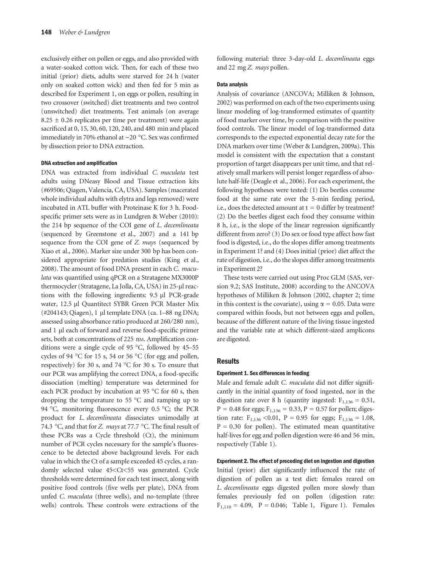exclusively either on pollen or eggs, and also provided with a water-soaked cotton wick. Then, for each of these two initial (prior) diets, adults were starved for 24 h (water only on soaked cotton wick) and then fed for 5 min as described for Experiment 1, on eggs or pollen, resulting in two crossover (switched) diet treatments and two control (unswitched) diet treatments. Test animals (on average  $8.25 \pm 0.26$  replicates per time per treatment) were again sacrificed at 0, 15, 30, 60, 120, 240, and 480 min and placed immediately in 70% ethanol at  $-20$  °C. Sex was confirmed by dissection prior to DNA extraction.

#### DNA extraction and amplification

DNA was extracted from individual C. maculata test adults using DNeasy Blood and Tissue extraction kits (#69506; Qiagen, Valencia, CA, USA). Samples (macerated whole individual adults with elytra and legs removed) were incubated in ATL buffer with Proteinase K for 3 h. Foodspecific primer sets were as in Lundgren & Weber (2010): the 214 bp sequence of the COI gene of L. decemlineata (sequenced by Greenstone et al., 2007) and a 141 bp sequence from the COI gene of Z. mays (sequenced by Xiao et al., 2006). Marker size under 300 bp has been considered appropriate for predation studies (King et al., 2008). The amount of food DNA present in each C. maculata was quantified using qPCR on a Stratagene MX3000P thermocycler (Stratagene, La Jolla, CA, USA) in 25-µl reactions with the following ingredients: 9.5 µl PCR-grade water, 12.5 µl Quantitect SYBR Green PCR Master Mix  $(\text{\#204143}; \text{Qiagen}), 1 \text{ µl template DNA}$  (ca. 1–88 ng DNA; assessed using absorbance ratio produced at 260/280 nm), and 1 µl each of forward and reverse food-specific primer sets, both at concentrations of 225 nm. Amplification conditions were a single cycle of 95  $^{\circ}$ C, followed by 45–55 cycles of 94  $\degree$ C for 15 s, 54 or 56  $\degree$ C (for egg and pollen, respectively) for 30 s, and 74  $^{\circ}$ C for 30 s. To ensure that our PCR was amplifying the correct DNA, a food-specific dissociation (melting) temperature was determined for each PCR product by incubation at 95  $\degree$ C for 60 s, then dropping the temperature to  $55^{\circ}$ C and ramping up to 94 °C, monitoring fluorescence every 0.5 °C; the PCR product for L. decemlineata dissociates unimodally at 74.3 °C, and that for Z. mays at 77.7 °C. The final result of these PCRs was a Cycle threshold (Ct), the minimum number of PCR cycles necessary for the sample's fluorescence to be detected above background levels. For each value in which the Ct of a sample exceeded 45 cycles, a randomly selected value 45<Ct<55 was generated. Cycle thresholds were determined for each test insect, along with positive food controls (five wells per plate), DNA from unfed C. maculata (three wells), and no-template (three wells) controls. These controls were extractions of the

following material: three 3-day-old L. decemlineata eggs and 22 mg Z. mays pollen.

#### Data analysis

Analysis of covariance (ANCOVA; Milliken & Johnson, 2002) was performed on each of the two experiments using linear modeling of log-transformed estimates of quantity of food marker over time, by comparison with the positive food controls. The linear model of log-transformed data corresponds to the expected exponential decay rate for the DNA markers over time (Weber & Lundgren, 2009a). This model is consistent with the expectation that a constant proportion of target disappears per unit time, and that relatively small markers will persist longer regardless of absolute half-life (Deagle et al., 2006). For each experiment, the following hypotheses were tested: (1) Do beetles consume food at the same rate over the 5-min feeding period, i.e., does the detected amount at  $t = 0$  differ by treatment? (2) Do the beetles digest each food they consume within 8 h, i.e., is the slope of the linear regression significantly different from zero? (3) Do sex or food type affect how fast food is digested, i.e., do the slopes differ among treatments in Experiment 1? and (4) Does initial (prior) diet affect the rate of digestion, i.e., do the slopes differ among treatments in Experiment 2?

These tests were carried out using Proc GLM (SAS, version 9.2; SAS Institute, 2008) according to the ANCOVA hypotheses of Milliken & Johnson (2002, chapter 2; time in this context is the covariate), using  $\alpha = 0.05$ . Data were compared within foods, but not between eggs and pollen, because of the different nature of the living tissue ingested and the variable rate at which different-sized amplicons are digested.

#### **Results**

#### Experiment 1. Sex differences in feeding

Male and female adult C. maculata did not differ significantly in the initial quantity of food ingested, nor in the digestion rate over 8 h (quantity ingested:  $F_{1,136} = 0.51$ ,  $P = 0.48$  for eggs;  $F_{1,136} = 0.33$ ,  $P = 0.57$  for pollen; digestion rate:  $F_{1,136}$  < 0.01, P = 0.95 for eggs;  $F_{1,136}$  = 1.08,  $P = 0.30$  for pollen). The estimated mean quantitative half-lives for egg and pollen digestion were 46 and 56 min, respectively (Table 1).

### Experiment 2. The effect of preceding diet on ingestion and digestion

Initial (prior) diet significantly influenced the rate of digestion of pollen as a test diet: females reared on L. decemlineata eggs digested pollen more slowly than females previously fed on pollen (digestion rate:  $F_{1,110} = 4.09$ ,  $P = 0.046$ ; Table 1, Figure 1). Females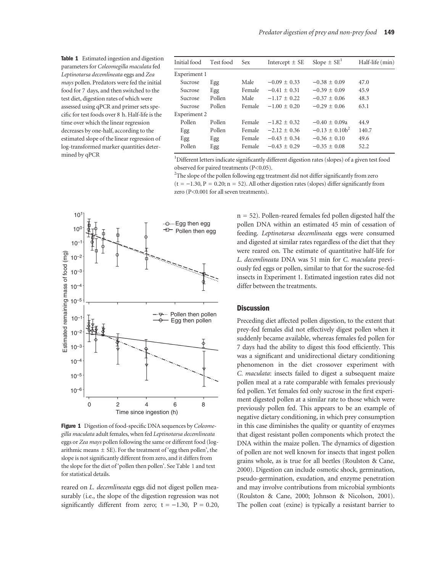Table 1 Estimated ingestion and digestion parameters for Coleomegilla maculata fed Leptinotarsa decemlineata eggs and Zea mays pollen. Predators were fed the initial food for 7 days, and then switched to the test diet, digestion rates of which were assessed using qPCR and primer sets specific for test foods over 8 h. Half-life is the time over which the linear regression decreases by one-half, according to the estimated slope of the linear regression of log-transformed marker quantities determined by qPCR

| Initial food | Test food | <b>Sex</b> | Intercept $\pm$ SE | Slope $\pm$ SE <sup>1</sup> | Half-life (min) |
|--------------|-----------|------------|--------------------|-----------------------------|-----------------|
| Experiment 1 |           |            |                    |                             |                 |
| Sucrose      | Egg       | Male       | $-0.09 + 0.33$     | $-0.38 + 0.09$              | 47.0            |
| Sucrose      | Egg       | Female     | $-0.41 + 0.31$     | $-0.39 + 0.09$              | 45.9            |
| Sucrose      | Pollen    | Male       | $-1.17 + 0.22$     | $-0.37 + 0.06$              | 48.3            |
| Sucrose      | Pollen    | Female     | $-1.00 + 0.20$     | $-0.29 + 0.06$              | 63.1            |
| Experiment 2 |           |            |                    |                             |                 |
| Pollen       | Pollen    | Female     | $-1.82 + 0.32$     | $-0.40 + 0.09a$             | 44.9            |
| Egg          | Pollen    | Female     | $-2.12 + 0.36$     | $-0.13 + 0.10b^2$           | 140.7           |
| Egg          | Egg       | Female     | $-0.43 + 0.34$     | $-0.36 + 0.10$              | 49.6            |
| Pollen       | Egg       | Female     | $-0.43 + 0.29$     | $-0.35 + 0.08$              | 52.2            |
|              |           |            |                    |                             |                 |

<sup>1</sup>Different letters indicate significantly different digestion rates (slopes) of a given test food observed for paired treatments (P<0.05).

 $2$ The slope of the pollen following egg treatment did not differ significantly from zero  $(t = -1.30, P = 0.20; n = 52)$ . All other digestion rates (slopes) differ significantly from zero (P<0.001 for all seven treatments).



Figure 1 Digestion of food-specific DNA sequences by Coleomegilla maculata adult females, when fed Leptinotarsa decemlineata eggs or Zea mays pollen following the same or different food (logarithmic means  $\pm$  SE). For the treatment of 'egg then pollen', the slope is not significantly different from zero, and it differs from the slope for the diet of 'pollen then pollen'. See Table 1 and text for statistical details.

reared on L. decemlineata eggs did not digest pollen measurably (i.e., the slope of the digestion regression was not significantly different from zero;  $t = -1.30$ ,  $P = 0.20$ ,  $n = 52$ ). Pollen-reared females fed pollen digested half the pollen DNA within an estimated 45 min of cessation of feeding. Leptinotarsa decemlineata eggs were consumed and digested at similar rates regardless of the diet that they were reared on. The estimate of quantitative half-life for L. decemlineata DNA was 51 min for C. maculata previously fed eggs or pollen, similar to that for the sucrose-fed insects in Experiment 1. Estimated ingestion rates did not differ between the treatments.

### **Discussion**

Preceding diet affected pollen digestion, to the extent that prey-fed females did not effectively digest pollen when it suddenly became available, whereas females fed pollen for 7 days had the ability to digest this food efficiently. This was a significant and unidirectional dietary conditioning phenomenon in the diet crossover experiment with C. maculata: insects failed to digest a subsequent maize pollen meal at a rate comparable with females previously fed pollen. Yet females fed only sucrose in the first experiment digested pollen at a similar rate to those which were previously pollen fed. This appears to be an example of negative dietary conditioning, in which prey consumption in this case diminishes the quality or quantity of enzymes that digest resistant pollen components which protect the DNA within the maize pollen. The dynamics of digestion of pollen are not well known for insects that ingest pollen grains whole, as is true for all beetles (Roulston & Cane, 2000). Digestion can include osmotic shock, germination, pseudo-germination, exudation, and enzyme penetration and may involve contributions from microbial symbionts (Roulston & Cane, 2000; Johnson & Nicolson, 2001). The pollen coat (exine) is typically a resistant barrier to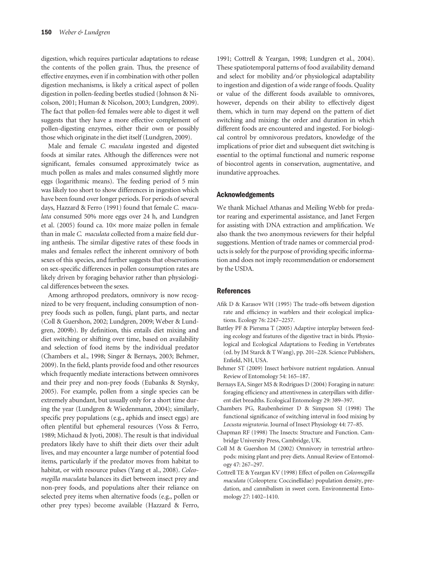digestion, which requires particular adaptations to release the contents of the pollen grain. Thus, the presence of effective enzymes, even if in combination with other pollen digestion mechanisms, is likely a critical aspect of pollen digestion in pollen-feeding beetles studied (Johnson & Nicolson, 2001; Human & Nicolson, 2003; Lundgren, 2009). The fact that pollen-fed females were able to digest it well suggests that they have a more effective complement of pollen-digesting enzymes, either their own or possibly those which originate in the diet itself (Lundgren, 2009).

Male and female C. maculata ingested and digested foods at similar rates. Although the differences were not significant, females consumed approximately twice as much pollen as males and males consumed slightly more eggs (logarithmic means). The feeding period of 5 min was likely too short to show differences in ingestion which have been found over longer periods. For periods of several days, Hazzard & Ferro (1991) found that female C. maculata consumed 50% more eggs over 24 h, and Lundgren et al. (2005) found ca.  $10\times$  more maize pollen in female than in male C. maculata collected from a maize field during anthesis. The similar digestive rates of these foods in males and females reflect the inherent omnivory of both sexes of this species, and further suggests that observations on sex-specific differences in pollen consumption rates are likely driven by foraging behavior rather than physiological differences between the sexes.

Among arthropod predators, omnivory is now recognized to be very frequent, including consumption of nonprey foods such as pollen, fungi, plant parts, and nectar (Coll & Guershon, 2002; Lundgren, 2009; Weber & Lundgren, 2009b). By definition, this entails diet mixing and diet switching or shifting over time, based on availability and selection of food items by the individual predator (Chambers et al., 1998; Singer & Bernays, 2003; Behmer, 2009). In the field, plants provide food and other resources which frequently mediate interactions between omnivores and their prey and non-prey foods (Eubanks & Styrsky, 2005). For example, pollen from a single species can be extremely abundant, but usually only for a short time during the year (Lundgren & Wiedenmann, 2004); similarly, specific prey populations (e.g., aphids and insect eggs) are often plentiful but ephemeral resources (Voss & Ferro, 1989; Michaud & Jyoti, 2008). The result is that individual predators likely have to shift their diets over their adult lives, and may encounter a large number of potential food items, particularly if the predator moves from habitat to habitat, or with resource pulses (Yang et al., 2008). Coleomegilla maculata balances its diet between insect prey and non-prey foods, and populations alter their reliance on selected prey items when alternative foods (e.g., pollen or other prey types) become available (Hazzard & Ferro,

1991; Cottrell & Yeargan, 1998; Lundgren et al., 2004). These spatiotemporal patterns of food availability demand and select for mobility and/or physiological adaptability to ingestion and digestion of a wide range of foods. Quality or value of the different foods available to omnivores, however, depends on their ability to effectively digest them, which in turn may depend on the pattern of diet switching and mixing: the order and duration in which different foods are encountered and ingested. For biological control by omnivorous predators, knowledge of the implications of prior diet and subsequent diet switching is essential to the optimal functional and numeric response of biocontrol agents in conservation, augmentative, and inundative approaches.

#### Acknowledgements

We thank Michael Athanas and Meiling Webb for predator rearing and experimental assistance, and Janet Fergen for assisting with DNA extraction and amplification. We also thank the two anonymous reviewers for their helpful suggestions. Mention of trade names or commercial products is solely for the purpose of providing specific information and does not imply recommendation or endorsement by the USDA.

#### References

- Afik D & Karasov WH (1995) The trade-offs between digestion rate and efficiency in warblers and their ecological implications. Ecology 76: 2247–2257.
- Battley PF & Piersma T (2005) Adaptive interplay between feeding ecology and features of the digestive tract in birds. Physiological and Ecological Adaptations to Feeding in Vertebrates (ed. by JM Starck & T Wang), pp. 201–228. Science Publishers, Enfield, NH, USA.
- Behmer ST (2009) Insect herbivore nutrient regulation. Annual Review of Entomology 54: 165–187.
- Bernays EA, Singer MS & Rodrigues D (2004) Foraging in nature: foraging efficiency and attentiveness in caterpillars with different diet breadths. Ecological Entomology 29: 389–397.
- Chambers PG, Raubenheimer D & Simpson SJ (1998) The functional significance of switching interval in food mixing by Locusta migratoria. Journal of Insect Physiology 44: 77–85.
- Chapman RF (1998) The Insects: Structure and Function. Cambridge University Press, Cambridge, UK.
- Coll M & Guershon M (2002) Omnivory in terrestrial arthropods: mixing plant and prey diets. Annual Review of Entomology 47: 267–297.
- Cottrell TE & Yeargan KV (1998) Effect of pollen on Coleomegilla maculata (Coleoptera: Coccinellidae) population density, predation, and cannibalism in sweet corn. Environmental Entomology 27: 1402–1410.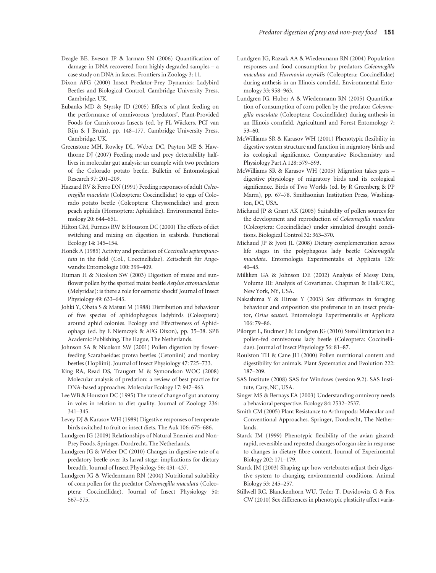- Deagle BE, Eveson JP & Jarman SN (2006) Quantification of damage in DNA recovered from highly degraded samples – a case study on DNA in faeces. Frontiers in Zoology 3: 11.
- Dixon AFG (2000) Insect Predator-Prey Dynamics: Ladybird Beetles and Biological Control. Cambridge University Press, Cambridge, UK.
- Eubanks MD & Styrsky JD (2005) Effects of plant feeding on the performance of omnivorous 'predators'. Plant-Provided Foods for Carnivorous Insects (ed. by FL Wäckers, PCJ van Rijn & J Bruin), pp. 148–177. Cambridge University Press, Cambridge, UK.
- Greenstone MH, Rowley DL, Weber DC, Payton ME & Hawthorne DJ (2007) Feeding mode and prey detectability halflives in molecular gut analysis: an example with two predators of the Colorado potato beetle. Bulletin of Entomological Research 97: 201–209.
- Hazzard RV & Ferro DN (1991) Feeding responses of adult Coleomegilla maculata (Coleoptera: Coccinellidae) to eggs of Colorado potato beetle (Coleoptera: Chrysomelidae) and green peach aphids (Homoptera: Aphididae). Environmental Entomology 20: 644–651.
- Hilton GM, Furness RW & Houston DC (2000) The effects of diet switching and mixing on digestion in seabirds. Functional Ecology 14: 145–154.
- Honěk A (1985) Activity and predation of Coccinella septempunctata in the field (Col., Coccinellidae). Zeitschrift für Angewandte Entomologie 100: 399–409.
- Human H & Nicolson SW (2003) Digestion of maize and sunflower pollen by the spotted maize beetle Astylus atromaculatus (Melyridae): is there a role for osmotic shock? Journal of Insect Physiology 49: 633–643.
- Johki Y, Obata S & Matsui M (1988) Distribution and behaviour of five species of aphidophagous ladybirds (Coleoptera) around aphid colonies. Ecology and Effectiveness of Aphidophaga (ed. by E Niemczyk & AFG Dixon), pp. 35–38. SPB Academic Publishing, The Hague, The Netherlands.
- Johnson SA & Nicolson SW (2001) Pollen digestion by flowerfeeding Scarabaeidae: protea beetles (Cetoniini) and monkey beetles (Hopliini). Journal of Insect Physiology 47: 725–733.
- King RA, Read DS, Traugott M & Symondson WOC (2008) Molecular analysis of predation: a review of best practice for DNA-based approaches. Molecular Ecology 17: 947–963.
- Lee WB & Houston DC (1995) The rate of change of gut anatomy in voles in relation to diet quality. Journal of Zoology 236: 341–345.
- Levey DJ & Karasov WH (1989) Digestive responses of temperate birds switched to fruit or insect diets. The Auk 106: 675–686.
- Lundgren JG (2009) Relationships of Natural Enemies and Non-Prey Foods. Springer, Dordrecht, The Netherlands.
- Lundgren JG & Weber DC (2010) Changes in digestive rate of a predatory beetle over its larval stage: implications for dietary breadth. Journal of Insect Physiology 56: 431–437.
- Lundgren JG & Wiedenmann RN (2004) Nutritional suitability of corn pollen for the predator Coleomegilla maculata (Coleoptera: Coccinellidae). Journal of Insect Physiology 50: 567–575.
- Lundgren JG, Razzak AA & Wiedenmann RN (2004) Population responses and food consumption by predators Coleomegilla maculata and Harmonia axyridis (Coleoptera: Coccinellidae) during anthesis in an Illinois cornfield. Environmental Entomology 33: 958–963.
- Lundgren JG, Huber A & Wiedenmann RN (2005) Quantification of consumption of corn pollen by the predator Coleomegilla maculata (Coleoptera: Coccinellidae) during anthesis in an Illinois cornfield. Agricultural and Forest Entomology 7: 53–60.
- McWilliams SR & Karasov WH (2001) Phenotypic flexibility in digestive system structure and function in migratory birds and its ecological significance. Comparative Biochemistry and Physiology Part A 128: 579–593.
- McWilliams SR & Karasov WH (2005) Migration takes guts digestive physiology of migratory birds and its ecological significance. Birds of Two Worlds (ed. by R Greenberg & PP Marra), pp. 67–78. Smithsonian Institution Press, Washington, DC, USA.
- Michaud JP & Grant AK (2005) Suitability of pollen sources for the development and reproduction of Coleomegilla maculata (Coleoptera: Coccinellidae) under simulated drought conditions. Biological Control 32: 363–370.
- Michaud JP & Jyoti JL (2008) Dietary complementation across life stages in the polyphagous lady beetle Coleomegilla maculata. Entomologia Experimentalis et Applicata 126: 40–45.
- Milliken GA & Johnson DE (2002) Analysis of Messy Data, Volume III: Analysis of Covariance. Chapman & Hall/CRC, New York, NY, USA.
- Nakashima Y & Hirose Y (2003) Sex differences in foraging behaviour and oviposition site preference in an insect predator, Orius sauteri. Entomologia Experimentalis et Applicata 106: 79–86.
- Pilorget L, Buckner J & Lundgren JG (2010) Sterol limitation in a pollen-fed omnivorous lady beetle (Coleoptera: Coccinellidae). Journal of Insect Physiology 56: 81–87.
- Roulston TH & Cane JH (2000) Pollen nutritional content and digestibility for animals. Plant Systematics and Evolution 222: 187–209.
- SAS Institute (2008) SAS for Windows (version 9.2). SAS Institute, Cary, NC, USA.
- Singer MS & Bernays EA (2003) Understanding omnivory needs a behavioral perspective. Ecology 84: 2532–2537.
- Smith CM (2005) Plant Resistance to Arthropods: Molecular and Conventional Approaches. Springer, Dordrecht, The Netherlands.
- Starck JM (1999) Phenotypic flexibility of the avian gizzard: rapid, reversible and repeated changes of organ size in response to changes in dietary fibre content. Journal of Experimental Biology 202: 171–179.
- Starck JM (2003) Shaping up: how vertebrates adjust their digestive system to changing environmental conditions. Animal Biology 53: 245–257.
- Stillwell RC, Blanckenhorn WU, Teder T, Davidowitz G & Fox CW (2010) Sex differences in phenotypic plasticity affect varia-